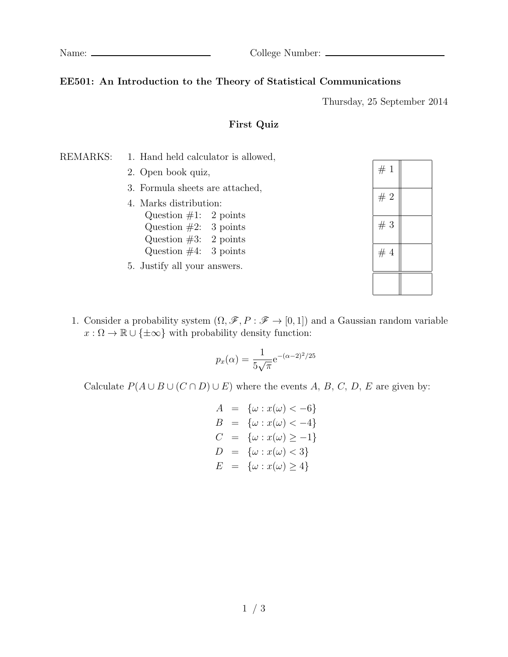Name: College Number:

### **EE501: An Introduction to the Theory of Statistical Communications**

Thursday, 25 September 2014

#### **First Quiz**

#### REMARKS: 1. Hand held calculator is allowed,

- 2. Open book quiz,
- 3. Formula sheets are attached,
- 4. Marks distribution: Question  $\#1$ : 2 points Question  $#2: 3$  points Question  $#3: 2$  points Question  $\#4$ : 3 points
- 5. Justify all your answers.

| #1 |  |
|----|--|
| #2 |  |
| #3 |  |
| #4 |  |
|    |  |

1. Consider a probability system  $(\Omega, \mathscr{F}, P : \mathscr{F} \to [0, 1])$  and a Gaussian random variable  $x : \Omega \to \mathbb{R} \cup {\pm \infty}$  with probability density function:

$$
p_x(\alpha) = \frac{1}{5\sqrt{\pi}} e^{-(\alpha - 2)^2/25}
$$

Calculate  $P(A \cup B \cup (C \cap D) \cup E)$  where the events *A, B, C, D, E* are given by:

$$
A = \{\omega : x(\omega) < -6\}
$$
  
\n
$$
B = \{\omega : x(\omega) < -4\}
$$
  
\n
$$
C = \{\omega : x(\omega) \ge -1\}
$$
  
\n
$$
D = \{\omega : x(\omega) < 3\}
$$
  
\n
$$
E = \{\omega : x(\omega) \ge 4\}
$$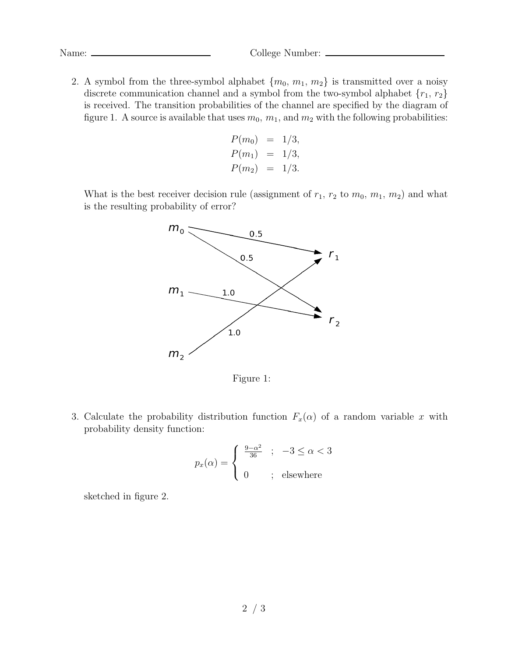Name: College Number:

2. A symbol from the three-symbol alphabet  $\{m_0, m_1, m_2\}$  is transmitted over a noisy discrete communication channel and a symbol from the two-symbol alphabet *{r*1*, r*2*}* is received. The transition probabilities of the channel are specified by the diagram of figure 1. A source is available that uses  $m_0$ ,  $m_1$ , and  $m_2$  with the following probabilities:

$$
P(m_0) = 1/3,
$$
  
\n
$$
P(m_1) = 1/3,
$$
  
\n
$$
P(m_2) = 1/3.
$$

What is the best receiver decision rule (assignment of  $r_1$ ,  $r_2$  to  $m_0$ ,  $m_1$ ,  $m_2$ ) and what is the resulting probability of error?



Figure 1:

3. Calculate the probability distribution function  $F_x(\alpha)$  of a random variable *x* with probability density function:

$$
p_x(\alpha) = \begin{cases} \frac{9-\alpha^2}{36} & ; & -3 \le \alpha < 3 \\ 0 & ; & \text{elsewhere} \end{cases}
$$

sketched in figure 2.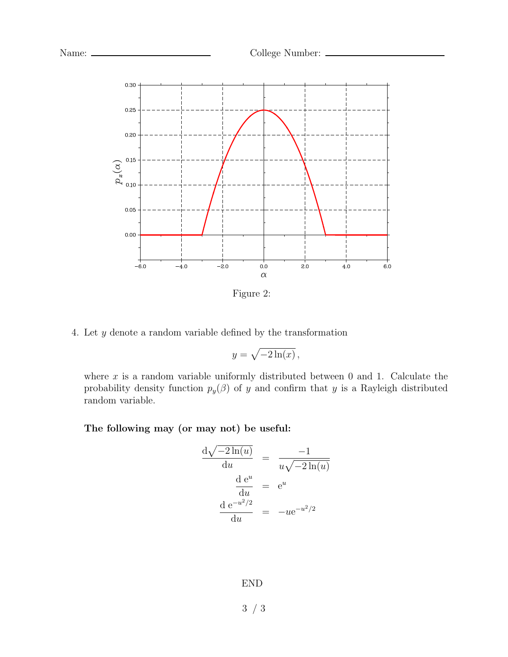



Figure 2:

4. Let *y* denote a random variable defined by the transformation

$$
y = \sqrt{-2\ln(x)},
$$

where  $x$  is a random variable uniformly distributed between  $0$  and  $1$ . Calculate the probability density function  $p_y(\beta)$  of *y* and confirm that *y* is a Rayleigh distributed random variable.

### **The following may (or may not) be useful:**

$$
\frac{d\sqrt{-2\ln(u)}}{du} = \frac{-1}{u\sqrt{-2\ln(u)}}
$$

$$
\frac{d e^u}{du} = e^u
$$

$$
\frac{d e^{-u^2/2}}{du} = -u e^{-u^2/2}
$$

END

3 / 3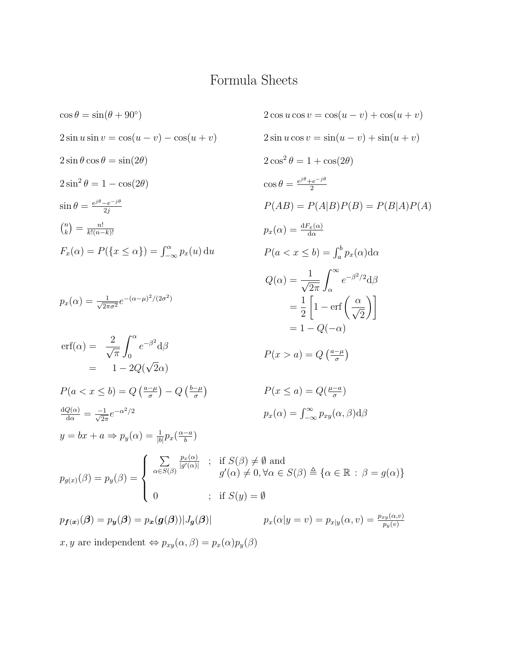### Formula Sheets

$$
\cos \theta = \sin(\theta + 90^{\circ})
$$
\n
$$
2 \cos u \cos v = \cos(u - v) + \cos(u + v)
$$
\n
$$
2 \sin u \sin v = \cos(u - v) - \cos(u + v)
$$
\n
$$
2 \sin u \cos v = \sin(u - v) + \sin(u + v)
$$
\n
$$
2 \sin \theta \cos \theta = \sin(2\theta)
$$
\n
$$
2 \cos^2 \theta = 1 + \cos(2\theta)
$$
\n
$$
2 \cos^2 \theta = 1 + \cos(2\theta)
$$
\n
$$
2 \cos^2 \theta = 1 + \cos(2\theta)
$$
\n
$$
2 \cos^2 \theta = 1 + \cos(2\theta)
$$
\n
$$
2 \cos^2 \theta = 1 + \cos(2\theta)
$$
\n
$$
2 \cos^2 \theta = 1 + \cos(2\theta)
$$
\n
$$
2 \cos^2 \theta = 1 + \cos(2\theta)
$$
\n
$$
2 \cos^2 \theta = 1 + \cos(2\theta)
$$
\n
$$
2 \cos^2 \theta = 1 + \cos(2\theta)
$$
\n
$$
2 \cos^2 \theta = 1 + \cos(2\theta)
$$
\n
$$
2 \cos^2 \theta = 1 + \cos(2\theta)
$$
\n
$$
2 \cos^2 \theta = 1 + \cos(2\theta)
$$
\n
$$
2 \cos^2 \theta = 1 + \cos(2\theta)
$$
\n
$$
2 \cos^2 \theta = 1 + \cos(2\theta)
$$
\n
$$
2 \cos^2 \theta = \sin(\theta - \theta) + \sin(\theta - \theta)
$$
\n
$$
2 \cos^2 \theta = \sin(\theta - \theta) + \sin(\theta - \theta)
$$
\n
$$
2 \cos^2 \theta = \sin(\theta - \theta) + \sin(\theta - \theta)
$$
\n
$$
2 \cos^2 \theta = 1 + \cos(2\theta)
$$
\n
$$
2 \cos^2 \theta = 1 + \cos(2\theta)
$$
\n
$$
2 \cos^2 \theta = \sin(\theta - \theta) + \sin(\theta - \theta)
$$
\n
$$
2 \cos^2 \theta = \sin(\theta - \theta) + \sin(\theta - \theta)
$$
\n
$$
2 \cos^2 \theta = \sin(\theta - \theta
$$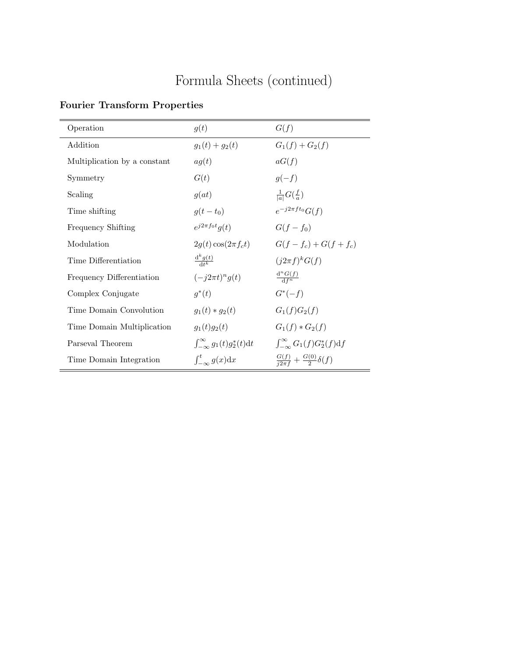# Formula Sheets (continued)

### **Fourier Transform Properties**

| Operation                    | g(t)                                         | G(f)                                             |
|------------------------------|----------------------------------------------|--------------------------------------------------|
| Addition                     | $g_1(t) + g_2(t)$                            | $G_1(f) + G_2(f)$                                |
| Multiplication by a constant | ag(t)                                        | aG(f)                                            |
| Symmetry                     | G(t)                                         | $g(-f)$                                          |
| Scaling                      | g(at)                                        | $\frac{1}{ a }G(\frac{f}{a})$                    |
| Time shifting                | $g(t-t_0)$                                   | $e^{-j2\pi ft_0} G(f)$                           |
| Frequency Shifting           | $e^{j2\pi f_0t}g(t)$                         | $G(f - f_0)$                                     |
| Modulation                   | $2g(t)\cos(2\pi f_c t)$                      | $G(f - f_c) + G(f + f_c)$                        |
| Time Differentiation         | $rac{d^k g(t)}{dt^k}$                        | $(j2\pi f)^{k}G(f)$                              |
| Frequency Differentiation    | $(-j2\pi t)^n g(t)$                          | $\frac{d^n G(f)}{d f^n}$                         |
| Complex Conjugate            | $q^*(t)$                                     | $G^*(-f)$                                        |
| Time Domain Convolution      | $g_1(t) * g_2(t)$                            | $G_1(f)G_2(f)$                                   |
| Time Domain Multiplication   | $g_1(t)g_2(t)$                               | $G_1(f) * G_2(f)$                                |
| Parseval Theorem             | $\int_{-\infty}^{\infty} g_1(t) g_2^*(t) dt$ | $\int_{-\infty}^{\infty} G_1(f)G_2^*(f)df$       |
| Time Domain Integration      | $\int_{-\infty}^{t} g(x) dx$                 | $\frac{G(f)}{i2\pi f} + \frac{G(0)}{2}\delta(f)$ |